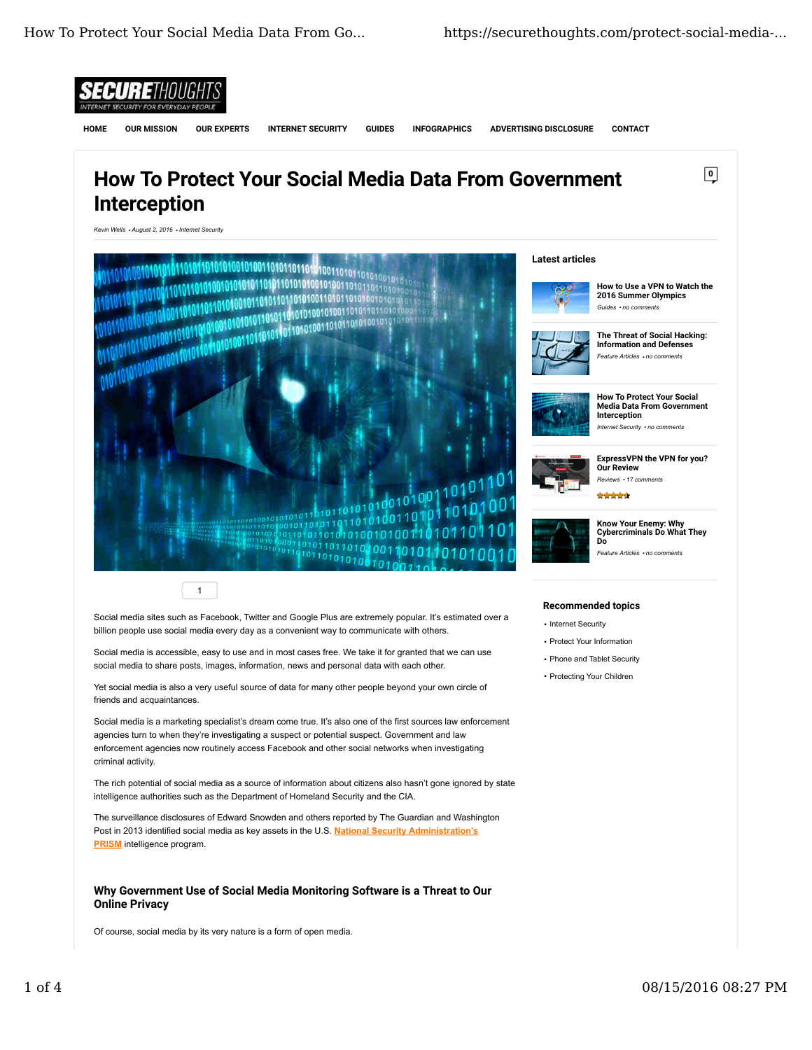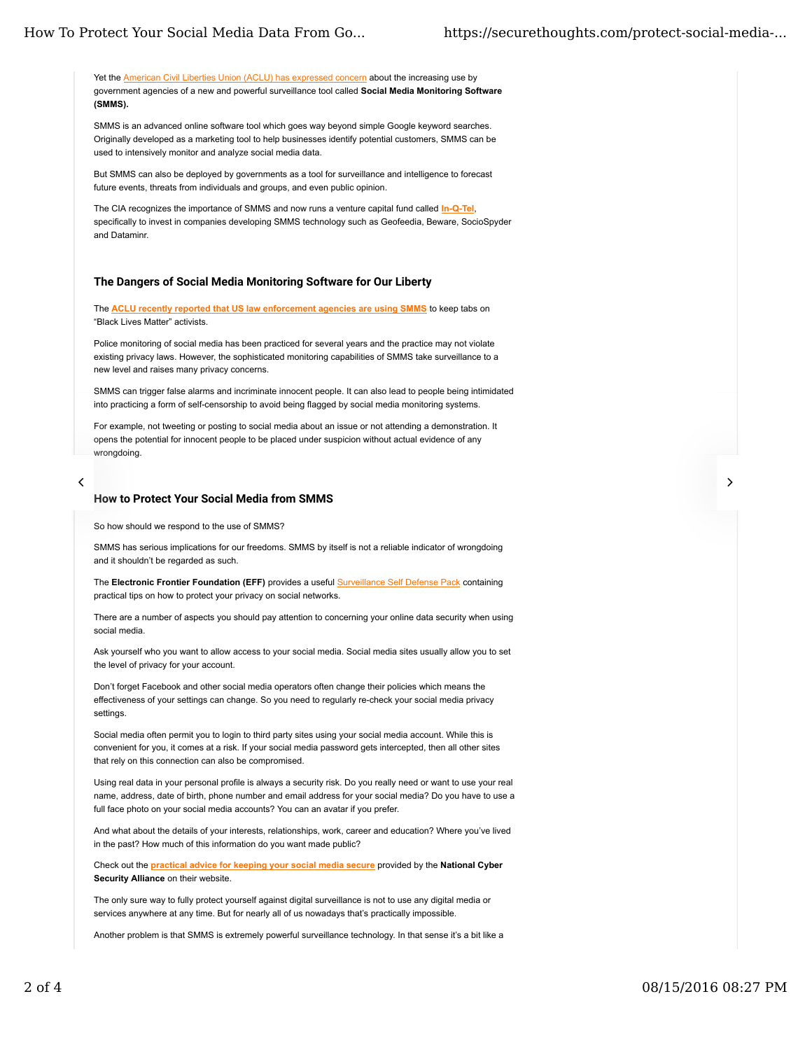## How To Protect Your Social Media Data From Go... https://securethoughts.com/protect-social-media-...

Yet the American Civil Liberties Union (ACLU) has expressed concern about the increasing use by government agencies of a new and powerful surveillance tool called **Social Media Monitoring Software (SMMS).**

SMMS is an advanced online software tool which goes way beyond simple Google keyword searches. Originally developed as a marketing tool to help businesses identify potential customers, SMMS can be used to intensively monitor and analyze social media data.

But SMMS can also be deployed by governments as a tool for surveillance and intelligence to forecast future events, threats from individuals and groups, and even public opinion.

The CIA recognizes the importance of SMMS and now runs a venture capital fund called **In-Q-Tel**, specifically to invest in companies developing SMMS technology such as Geofeedia, Beware, SocioSpyder and Dataminr.

## The Dangers of Social Media Monitoring Software for Our Liberty

The **ACLU recently reported that US law enforcement agencies are using SMMS** to keep tabs on "Black Lives Matter" activists.

Police monitoring of social media has been practiced for several years and the practice may not violate existing privacy laws. However, the sophisticated monitoring capabilities of SMMS take surveillance to a new level and raises many privacy concerns.

SMMS can trigger false alarms and incriminate innocent people. It can also lead to people being intimidated into practicing a form of self-censorship to avoid being flagged by social media monitoring systems.

For example, not tweeting or posting to social media about an issue or not attending a demonstration. It opens the potential for innocent people to be placed under suspicion without actual evidence of any wrongdoing.

# 

#### How to Protect Your Social Media from SMMS

So how should we respond to the use of SMMS?

SMMS has serious implications for our freedoms. SMMS by itself is not a reliable indicator of wrongdoing and it shouldn't be regarded as such.

The **Electronic Frontier Foundation (EFF)** provides a useful Surveillance Self Defense Pack containing practical tips on how to protect your privacy on social networks.

There are a number of aspects you should pay attention to concerning your online data security when using social media.

Ask yourself who you want to allow access to your social media. Social media sites usually allow you to set the level of privacy for your account.

Don't forget Facebook and other social media operators often change their policies which means the effectiveness of your settings can change. So you need to regularly re-check your social media privacy settings.

Social media often permit you to login to third party sites using your social media account. While this is convenient for you, it comes at a risk. If your social media password gets intercepted, then all other sites that rely on this connection can also be compromised.

Using real data in your personal profile is always a security risk. Do you really need or want to use your real name, address, date of birth, phone number and email address for your social media? Do you have to use a full face photo on your social media accounts? You can an avatar if you prefer.

And what about the details of your interests, relationships, work, career and education? Where you've lived in the past? How much of this information do you want made public?

Check out the **practical advice for keeping your social media secure** provided by the **National Cyber Security Alliance** on their website.

The only sure way to fully protect yourself against digital surveillance is not to use any digital media or services anywhere at any time. But for nearly all of us nowadays that's practically impossible.

Another problem is that SMMS is extremely powerful surveillance technology. In that sense it's a bit like a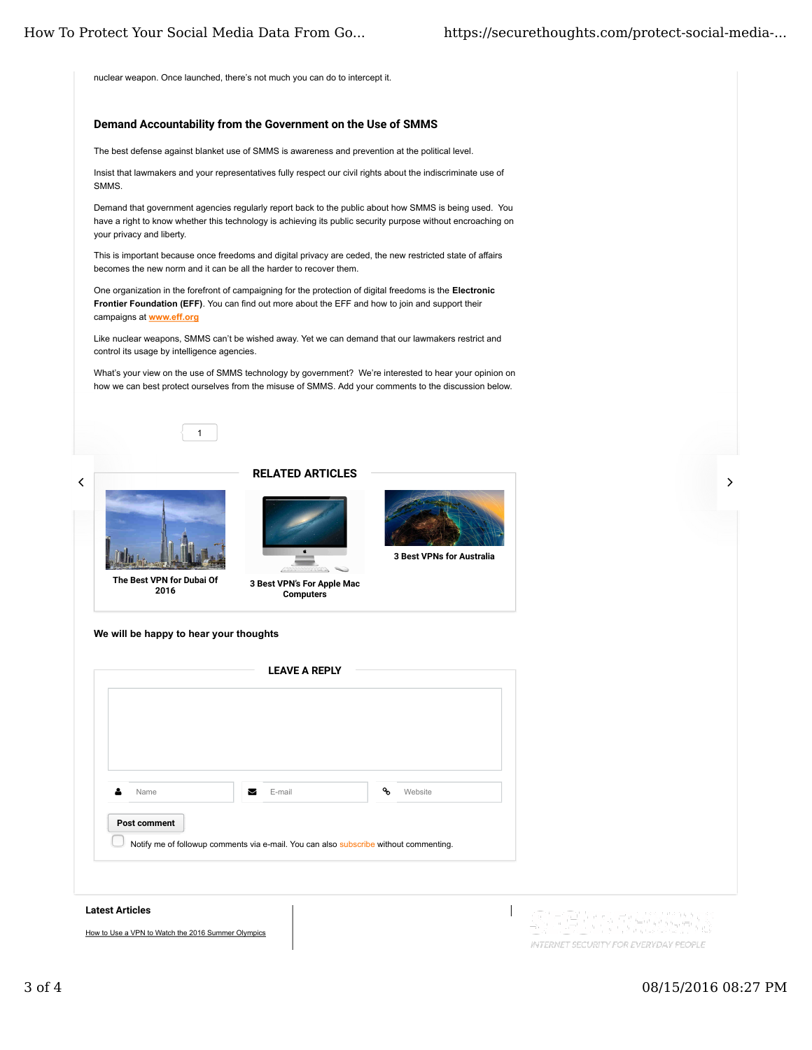nuclear weapon. Once launched, there's not much you can do to intercept it.

## Demand Accountability from the Government on the Use of SMMS

The best defense against blanket use of SMMS is awareness and prevention at the political level.

Insist that lawmakers and your representatives fully respect our civil rights about the indiscriminate use of SMMS.

Demand that government agencies regularly report back to the public about how SMMS is being used. You have a right to know whether this technology is achieving its public security purpose without encroaching on your privacy and liberty.

This is important because once freedoms and digital privacy are ceded, the new restricted state of affairs becomes the new norm and it can be all the harder to recover them.

One organization in the forefront of campaigning for the protection of digital freedoms is the **Electronic Frontier Foundation (EFF)**. You can find out more about the EFF and how to join and support their campaigns at **www.eff.org**

Like nuclear weapons, SMMS can't be wished away. Yet we can demand that our lawmakers restrict and control its usage by intelligence agencies.

What's your view on the use of SMMS technology by government? We're interested to hear your opinion on how we can best protect ourselves from the misuse of SMMS. Add your comments to the discussion below.







The Best VPN for Dubai Of 2016



RELATED ARTICLES



3 Best VPN's For Apple Mac **Computers** 

**We will be happy to hear your thoughts**



### Latest Articles

How to Use a VPN to Watch the 2016 Summer Olympics